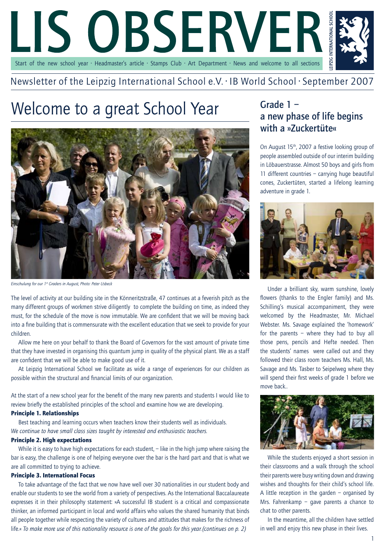

### Newsletter of the Leipzig International School e.V. · IB World School · September 2007

## Welcome to a great School Year



*Einschulung for our 1st Graders in August, Photo: Peter Usbeck* 

The level of activity at our building site in the Könneritzstraße, 47 continues at a feverish pitch as the many different groups of workmen strive diligently to complete the building on time, as indeed they must, for the schedule of the move is now immutable. We are confident that we will be moving back into a fine building that is commensurate with the excellent education that we seek to provide for your children.

Allow me here on your behalf to thank the Board of Governors for the vast amount of private time that they have invested in organising this quantum jump in quality of the physical plant. We as a staff are confident that we will be able to make good use of it.

At Leipzig International School we facilitate as wide a range of experiences for our children as possible within the structural and financial limits of our organization.

At the start of a new school year for the benefit of the many new parents and students I would like to review briefly the established principles of the school and examine how we are developing.

### Principle 1. Relationships

Best teaching and learning occurs when teachers know their students well as individuals. *We continue to have small class sizes taught by interested and enthusiastic teachers.* 

### Principle 2. High expectations

While it is easy to have high expectations for each student, – like in the high jump where raising the bar is easy, the challenge is one of helping everyone over the bar is the hard part and that is what we are all committed to trying to achieve.

#### Principle 3. International Focus

To take advantage of the fact that we now have well over 30 nationalities in our student body and enable our students to see the world from a variety of perspectives. As the International Baccalaureate expresses it in their philosophy statement: »A successful IB student is a critical and compassionate thinker, an informed participant in local and world affairs who values the shared humanity that binds all people together while respecting the variety of cultures and attitudes that makes for the richness of life.« *To make more use of this nationality resource is one of the goals for this year.(continues on p. 2)*

## Grade 1 – a new phase of life begins with a »Zuckertüte«

On August 15<sup>th</sup>, 2007 a festive looking group of people assembled outside of our interim building in Löbauerstrasse. Almost 50 boys and girls from 11 different countries – carrying huge beautiful cones, Zuckertüten, started a lifelong learning adventure in grade 1.



Under a brilliant sky, warm sunshine, lovely flowers (thanks to the Engler family) and Ms. Schilling's musical accompaniment, they were welcomed by the Headmaster, Mr. Michael Webster. Ms. Savage explained the 'homework' for the parents – where they had to buy all those pens, pencils and Hefte needed. Then the students' names were called out and they followed their class room teachers Ms. Hall, Ms. Savage and Ms. Tasber to Seipelweg where they will spend their first weeks of grade 1 before we move back..



While the students enjoyed a short session in their classrooms and a walk through the school their parents were busy writing down and drawing wishes and thoughts for their child's school life. A little reception in the garden – organised by Mrs. Fahrenkamp – gave parents a chance to chat to other parents.

In the meantime, all the children have settled in well and enjoy this new phase in their lives.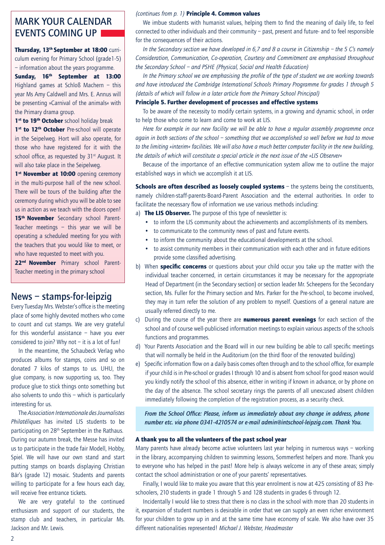## MARK YOUR CALENDAR EVENTS COMING UP

Thursday, 13<sup>th</sup> September at 18:00 curriculum evening for Primary School (grade1-5) – information about the years programme.

Sunday, 16<sup>th</sup> September at 13:00 Highland games at Schloß Machern – this year Ms Amy Caldwell and Mrs. E. Annus will be presenting »Carnival of the animals« with the Primary drama group.

1<sup>st</sup> to 19<sup>th</sup> October school holiday break

1<sup>st</sup> to 12<sup>th</sup> October Pre-school will operate in the Seipelweg. Hort will also operate, for those who have registered for it with the school office, as requested by 31<sup>st</sup> August. It will also take place in the Seipelweg.

1<sup>st</sup> November at 10:00 opening ceremony in the multi-purpose hall of the new school. There will be tours of the building after the ceremony during which you will be able to see us in action as we teach with the doors open! 15<sup>th</sup> November Secondary school Parent-Teacher meetings – this year we will be operating a scheduled meeting for you with the teachers that you would like to meet, or who have requested to meet with you.

22<sup>nd</sup> November Primary school Parent-Teacher meeting in the primary school

### News – stamps-for-leipzig

Every Tuesday Mrs. Webster's office is the meeting place of some highly devoted mothers who come to count and cut stamps. We are very grateful for this wonderful assistance – have you ever considered to join? Why not  $-$  it is a lot of fun!

In the meantime, the Schaubeck Verlag who produces albums for stamps, coins and so on donated 7 kilos of stamps to us. UHU, the glue company, is now supporting us, too. They produce glue to stick things onto something but also solvents to undo this – which is particularly interesting for us.

The *Association Internationale des Journalistes Philatéliques* has invited LIS students to be participating on 28<sup>th</sup> September in the Rathaus. During our autumn break, the Messe has invited us to participate in the trade fair Modell, Hobby, Spiel. We will have our own stand and start putting stamps on boards displaying Christian Bär's (grade 12) mosaic. Students and parents willing to participate for a few hours each day, will receive free entrance tickets.

We are very grateful to the continued enthusiasm and support of our students, the stamp club and teachers, in particular Ms. Jackson and Mr. Lewis.

### *(continues from p. 1)* Principle 4. Common values

We imbue students with humanist values, helping them to find the meaning of daily life, to feel connected to other individuals and their community – past, present and future- and to feel responsible for the consequences of their actions.

*In the Secondary section we have developed in 6,7 and 8 a course in Citizenship – the 5 C's namely Consideration, Communication, Co-operation, Courtesy and Commitment are emphasised throughout the Secondary School – and PSHE (Physical, Social and Health Education)* 

*In the Primary school we are emphasising the profile of the type of student we are working towards and have introduced the Cambridge International Schools Primary Programme for grades 1 through 5 (details of which will follow in a later article from the Primary School Principal)*

### Principle 5. Further development of processes and effective systems

To be aware of the necessity to modify certain systems, in a growing and dynamic school, in order to help those who come to learn and come to work at LIS.

*Here for example in our new facility we will be able to have a regular assembly programme once again in both sections of the school – something that we accomplished so well before we had to move to the limiting »interim« facilities. We will also have a much better computer facility in the new building, the details of which will constitute a special article in the next issue of the »LIS Observer«*

Because of the importance of an effective communication system allow me to outline the major established ways in which we accomplish it at LIS.

Schools are often described as loosely coupled systems – the systems being the constituents, namely children-staff-parents-Board-Parent Association and the external authorities. In order to facilitate the necessary flow of information we use various methods including:

a) The LIS Observer. The purpose of this type of newsletter is:

- to inform the LIS community about the achievements and accomplishments of its members.
- to communicate to the community news of past and future events.
- to inform the community about the educational developments at the school.
- to assist community members in their communication with each other and in future editions provide some classified advertising.
- b) When **specific concerns** or questions about your child occur you take up the matter with the individual teacher concerned, in certain circumstances it may be necessary for the appropriate Head of Department (in the Secondary section) or section leader Mr. Scheepens for the Secondary section, Ms. Fuller for the Primary section and Mrs. Parker for the Pre-school, to become involved, they may in turn refer the solution of any problem to myself. Questions of a general nature are usually referred directly to me.
- c) During the course of the year there are **numerous parent evenings** for each section of the school and of course well-publicised information meetings to explain various aspects of the schools functions and programmes.
- d) Your Parents Association and the Board will in our new building be able to call specific meetings that will normally be held in the Auditorium (on the third floor of the renovated building)
- e) Specific information flow on a daily basis comes often through and to the school office, for example if your child is in Pre-school or grades I through 10 and is absent from school for good reason would you kindly notify the school of this absence, either in writing if known in advance, or by phone on the day of the absence. The school secretary rings the parents of all unexcused absent children immediately following the completion of the registration process, as a security check.

*From the School Office: Please, inform us immediately about any change in address, phone number etc. via phone 0341-4210574 or e-mail admin@intschool-leipzig.com. Thank You.* 

#### A thank you to all the volunteers of the past school year

Many parents have already become active volunteers last year helping in numerous ways – working in the library, accompanying children to swimming lessons, Sommerfest helpers and more. Thank you to everyone who has helped in the past! More help is always welcome in any of these areas; simply contact the school administration or one of your parents' representatives.

Finally, I would like to make you aware that this year enrolment is now at 425 consisting of 83 Preschoolers, 210 students in grade 1 through 5 and 128 students in grades 6 through 12.

Incidentally I would like to stress that there is no class in the school with more than 20 students in it, expansion of student numbers is desirable in order that we can supply an even richer environment for your children to grow up in and at the same time have economy of scale. We also have over 35 different nationalities represented! *Michael J. Webster, Headmaster*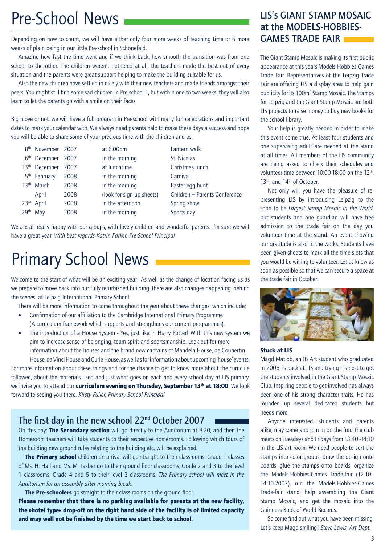## Pre-School News

Depending on how to count, we will have either only four more weeks of teaching time or 6 more weeks of plain being in our little Pre-school in Schönefeld.

Amazing how fast the time went and if we think back, how smooth the transition was from one school to the other. The children weren't bothered at all, the teachers made the best out of every situation and the parents were great support helping to make the building suitable for us.

Also the new children have settled in nicely with their new teachers and made friends amongst their peers. You might still find some sad children in Pre-school 1, but within one to two weeks, they will also learn to let the parents go with a smile on their faces.

Big move or not, we will have a full program in Pre-school with many fun celebrations and important dates to mark your calendar with. We always need parents help to make these days a success and hope you will be able to share some of your precious time with the children and us.

| 8 <sup>th</sup> November 2007 |      | at 6:00pm                 | Lantern walk                  |
|-------------------------------|------|---------------------------|-------------------------------|
| 6 <sup>th</sup> December 2007 |      | in the morning            | St. Nicolas                   |
| 13 <sup>th</sup> December     | 2007 | at lunchtime              | Christmas lunch               |
| 5 <sup>th</sup> February      | 2008 | in the morning            | Carnival                      |
| 13 <sup>th</sup> March        | 2008 | in the morning            | Easter egg hunt               |
| April                         | 2008 | (look for sign-up sheets) | Children - Parents Conference |
| 23rd April                    | 2008 | in the afternoon          | Spring show                   |
| 29 <sup>th</sup> May          | 2008 | in the morning            | Sports day                    |

We are all really happy with our groups, with lovely children and wonderful parents. I'm sure we will have a great year. *With best regards Katrin Parker, Pre-School Principal*

## Primary School News

Welcome to the start of what will be an exciting year! As well as the change of location facing us as we prepare to move back into our fully refurbished building, there are also changes happening 'behind the scenes' at Leipzig International Primary School.

There will be more information to come throughout the year about these changes, which include;

- Confirmation of our affiliation to the Cambridge International Primary Programme (A curriculum framework which supports and strengthens our current programmes).
- The introduction of a House System Yes, just like in Harry Potter! With this new system we aim to increase sense of belonging, team spirit and sportsmanship. Look out for more information about the houses and the brand new captains of Mandela House, de Coubertin House, da Vinci House and Curie House, as well as for information about upcoming 'house' events.

For more information about these things and for the chance to get to know more about the curricula followed, about the materials used and just what goes on each and every school day at LIS primary, we invite you to attend our curriculum evening on Thursday, September 13<sup>th</sup> at 18:00. We look forward to seeing you there. *Kirsty Fuller, Primary School Principal*

### The first day in the new school 22<sup>nd</sup> October 2007

On this day: **The Secondary section** will go directly to the Auditorium at 8.20, and then the Homeroom teachers will take students to their respective homerooms. Following which tours of the building new ground rules relating to the building etc. will be explained.

The Primary school children on arrival will go straight to their classrooms, Grade 1 classes of Ms. H. Hall and Ms. M. Tasber go to their ground floor classrooms, Grade 2 and 3 to the level 1 classrooms, Grade 4 and 5 to their level 2 classrooms. *The Primary school will meet in the Auditorium for an assembly after morning break.* 

**The Pre-schoolers** go straight to their class-rooms on the ground floor.

Please remember that there is no parking available for parents at the new facility, the »hotel type« drop-off on the right hand side of the facility is of limited capacity and may well not be finished by the time we start back to school.

### LIS's GIANT STAMP MOSAIC at the MODELS-HOBBIES-GAMES TRADE FAIR

The Giant Stamp Mosaic is making its first public appearance at this years Models-Hobbies-Games Trade Fair. Representatives of the Leipzig Trade Fair are offering LIS a display area to help gain publicity for its 100m<sup>2</sup> Stamp Mosaic. The Stamps for Leipzig and the Giant Stamp Mosaic are both LIS projects to raise money to buy new books for the school library.

Your help is greatly needed in order to make this event come true. At least four students and one supervising adult are needed at the stand at all times. All members of the LIS community are being asked to check their schedules and volunteer time between 10:00-18:00 on the 12<sup>th</sup>, 13<sup>th</sup>, and 14<sup>th</sup> of October.

Not only will you have the pleasure of representing LIS by introducing Leipzig to the soon to be *Largest Stamp Mosaic in the World*, but students and one guardian will have free admission to the trade fair on the day you volunteer time at the stand. An event showing our gratitude is also in the works. Students have been given sheets to mark all the time slots that you would be willing to volunteer. Let us know as soon as possible so that we can secure a space at the trade fair in October.



#### Stuck at LIS

Magd Matlob, an IB Art student who graduated in 2006, is back at LIS and trying his best to get the students involved in the Giant Stamp Mosaic Club. Inspiring people to get involved has always been one of his strong character traits. He has rounded up several dedicated students but needs more.

Anyone interested, students and parents alike, may come and join in on the fun. The club meets on Tuesdays and Fridays from 13:40 -14:10 in the LIS art room. We need people to sort the stamps into color groups, draw the design onto boards, glue the stamps onto boards, organize the Models-Hobbies-Games Trade-fair (12.10.- 14.10.2007), run the Models-Hobbies-Games Trade-fair stand, help assembling the Giant Stamp Mosaic, and get the mosaic into the Guinness Book of World Records.

So come find out what you have been missing. Let's keep Magd smiling! *Steve Lewis, Art Dept.*